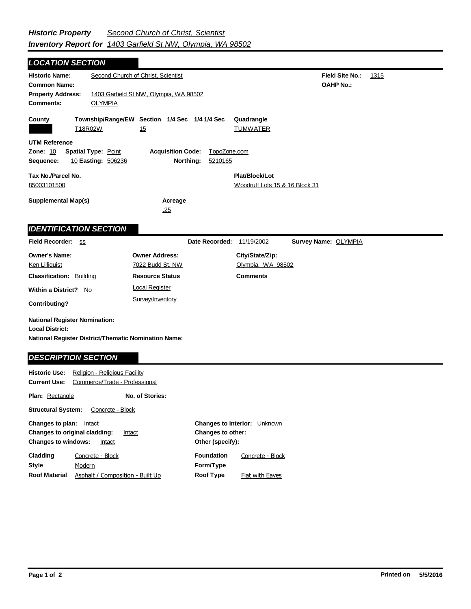*LOCATION SECTION*

| <b>Historic Name:</b>                                                                                         |                                                                                      | Second Church of Christ, Scientist<br><b>Field Site No.:</b><br>1315 |                           |                                                  |                      |  |
|---------------------------------------------------------------------------------------------------------------|--------------------------------------------------------------------------------------|----------------------------------------------------------------------|---------------------------|--------------------------------------------------|----------------------|--|
|                                                                                                               | <b>OAHP No.:</b><br><b>Common Name:</b>                                              |                                                                      |                           |                                                  |                      |  |
| <b>Comments:</b>                                                                                              | <b>Property Address:</b><br>1403 Garfield St NW, Olympia, WA 98502<br><b>OLYMPIA</b> |                                                                      |                           |                                                  |                      |  |
|                                                                                                               |                                                                                      |                                                                      |                           |                                                  |                      |  |
| County                                                                                                        | T18R02W                                                                              | Township/Range/EW Section 1/4 Sec 1/4 1/4 Sec<br>15                  |                           | Quadrangle<br><b>TUMWATER</b>                    |                      |  |
| <b>UTM Reference</b><br>Zone: 10                                                                              | <b>Spatial Type: Point</b>                                                           | <b>Acquisition Code:</b>                                             | TopoZone.com              |                                                  |                      |  |
| Sequence:                                                                                                     | 10 Easting: 506236                                                                   |                                                                      | Northing:<br>5210165      |                                                  |                      |  |
| Tax No./Parcel No.<br>85003101500                                                                             |                                                                                      |                                                                      |                           | Plat/Block/Lot<br>Woodruff Lots 15 & 16 Block 31 |                      |  |
| <b>Supplemental Map(s)</b>                                                                                    |                                                                                      | Acreage<br>.25                                                       |                           |                                                  |                      |  |
| <b>IDENTIFICATION SECTION</b>                                                                                 |                                                                                      |                                                                      |                           |                                                  |                      |  |
| Field Recorder: SS                                                                                            |                                                                                      |                                                                      | Date Recorded: 11/19/2002 |                                                  | Survey Name: OLYMPIA |  |
| <b>Owner's Name:</b>                                                                                          |                                                                                      | <b>Owner Address:</b>                                                |                           | City/State/Zip:                                  |                      |  |
| <b>Ken Lilliquist</b>                                                                                         |                                                                                      | 7022 Budd St. NW                                                     |                           | Olympia, WA 98502                                |                      |  |
| <b>Classification: Building</b>                                                                               |                                                                                      | <b>Resource Status</b>                                               |                           | <b>Comments</b>                                  |                      |  |
| Within a District? No                                                                                         |                                                                                      | <b>Local Register</b>                                                |                           |                                                  |                      |  |
| <b>Contributing?</b>                                                                                          |                                                                                      | Survey/Inventory                                                     |                           |                                                  |                      |  |
| <b>National Register Nomination:</b>                                                                          |                                                                                      |                                                                      |                           |                                                  |                      |  |
| <b>Local District:</b>                                                                                        |                                                                                      |                                                                      |                           |                                                  |                      |  |
| National Register District/Thematic Nomination Name:                                                          |                                                                                      |                                                                      |                           |                                                  |                      |  |
| <b>DESCRIPTION SECTION</b>                                                                                    |                                                                                      |                                                                      |                           |                                                  |                      |  |
| <b>Historic Use:</b><br>Religion - Religious Facility<br><b>Current Use:</b><br>Commerce/Trade - Professional |                                                                                      |                                                                      |                           |                                                  |                      |  |
| Plan: Rectangle                                                                                               |                                                                                      | No. of Stories:                                                      |                           |                                                  |                      |  |
| <b>Structural System:</b><br>Concrete - Block                                                                 |                                                                                      |                                                                      |                           |                                                  |                      |  |
| Changes to plan: Intact<br><b>Changes to interior:</b> Unknown                                                |                                                                                      |                                                                      |                           |                                                  |                      |  |

**Other (specify): Style Changes to original cladding: Intact Changes to windows:** Intact **Changes to other: Cladding Roof Material Foundation Form/Type Roof Type** Modern Concrete - Block Asphalt / Composition - Built Up Concrete - Block Flat with Eaves